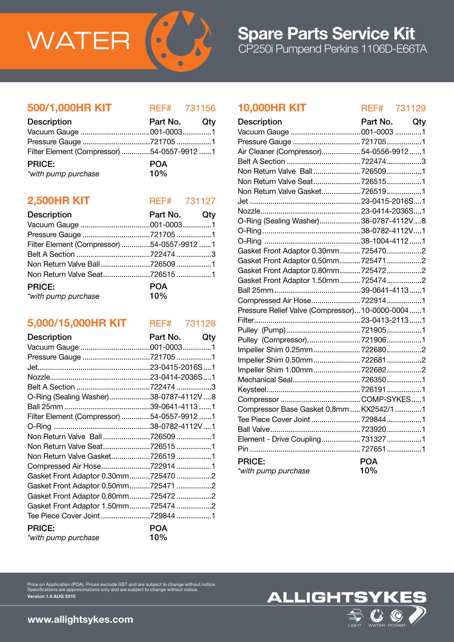

### 500/1,000HR KIT REF# 731156

| <b>Description</b>                         | Part No. Qty |  |
|--------------------------------------------|--------------|--|
|                                            |              |  |
|                                            |              |  |
| Filter Element (Compressor) 54-0557-9912 1 |              |  |
| <b>PRICE:</b>                              | <b>POA</b>   |  |
| *with pump purchase                        | 10%          |  |

## **2,500HR KIT** REF# 731127

| <b>Description</b>                         | Part No. Qty      |  |
|--------------------------------------------|-------------------|--|
|                                            |                   |  |
|                                            |                   |  |
| Filter Element (Compressor) 54-0557-9912 1 |                   |  |
|                                            |                   |  |
| Non Return Valve Ball7265091               |                   |  |
| Non Return Valve Seat7265151               |                   |  |
| <b>PRICE:</b><br>*with pump purchase       | <b>POA</b><br>10% |  |

# 5,000/15,000HR KIT REF# 731128

| <b>Description</b>                         | Part No. Qty |  |
|--------------------------------------------|--------------|--|
|                                            |              |  |
| Pressure Gauge 721705 1                    |              |  |
|                                            |              |  |
|                                            |              |  |
|                                            |              |  |
| O-Ring (Sealing Washer)38-0787-4112V8      |              |  |
|                                            |              |  |
| Filter Element (Compressor) 54-0557-9912 1 |              |  |
|                                            |              |  |
| Non Return Valve Ball7265091               |              |  |
| Non Return Valve Seat7265151               |              |  |
| Non Return Valve Gasket7265191             |              |  |
| Compressed Air Hose7229141                 |              |  |
| Gasket Front Adaptor 0.30mm7254702         |              |  |
| Gasket Front Adaptor 0.50mm7254712         |              |  |
| Gasket Front Adaptor 0.80mm7254722         |              |  |
| Gasket Front Adaptor 1.50mm7254742         |              |  |
| Tee Piece Cover Joint 729844 1             |              |  |
| <b>PRICE:</b>                              | <b>POA</b>   |  |
| *with pump purchase                        | 10%          |  |

# 10,000HR KIT REF# 731129

| <b>Description</b>                               | Part No.   | Qty |
|--------------------------------------------------|------------|-----|
| Vacuum Gauge  001-0003 1                         |            |     |
| Pressure Gauge 7217051                           |            |     |
| Air Cleaner (Compressor)54-0556-99121            |            |     |
|                                                  |            |     |
| Non Return Valve Ball7265091                     |            |     |
| Non Return Valve Seat 7265151                    |            |     |
| Non Return Valve Gasket 7265191                  |            |     |
|                                                  |            |     |
|                                                  |            |     |
| O-Ring (Sealing Washer)38-0787-4112V8            |            |     |
|                                                  |            |     |
|                                                  |            |     |
| Gasket Front Adaptor 0.30mm 7254702              |            |     |
| Gasket Front Adaptor 0.50mm7254712               |            |     |
| Gasket Front Adaptor 0.80mm 7254722              |            |     |
| Gasket Front Adaptor 1.50mm 7254742              |            |     |
|                                                  |            |     |
| Compressed Air Hose7229141                       |            |     |
| Pressure Relief Valve (Compressor) 10-0000-00041 |            |     |
|                                                  |            |     |
|                                                  |            |     |
| Pulley (Compressor)7219061                       |            |     |
| Impeller Shim 0.25mm7226802                      |            |     |
| Impeller Shim 0.50mm7226812                      |            |     |
|                                                  |            |     |
|                                                  |            |     |
|                                                  |            |     |
|                                                  |            |     |
| Compressor Base Gasket 0.8mm  KX2542/1 1         |            |     |
| Tee Piece Cover Joint 729844 1                   |            |     |
|                                                  |            |     |
| Element - Drive Coupling 7313271                 |            |     |
|                                                  |            |     |
| <b>PRICE:</b>                                    | <b>POA</b> |     |
| *with pump purchase                              | 10%        |     |